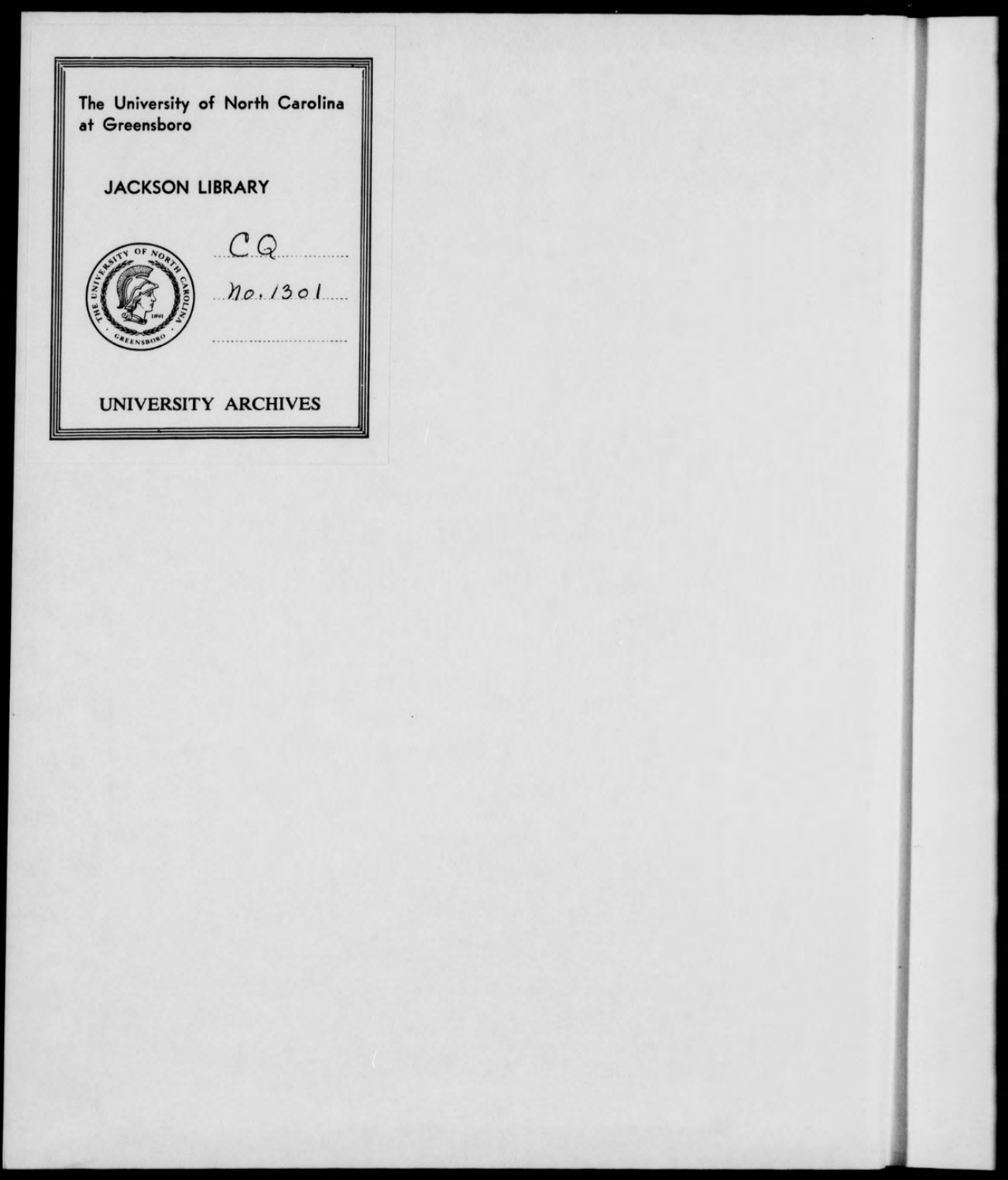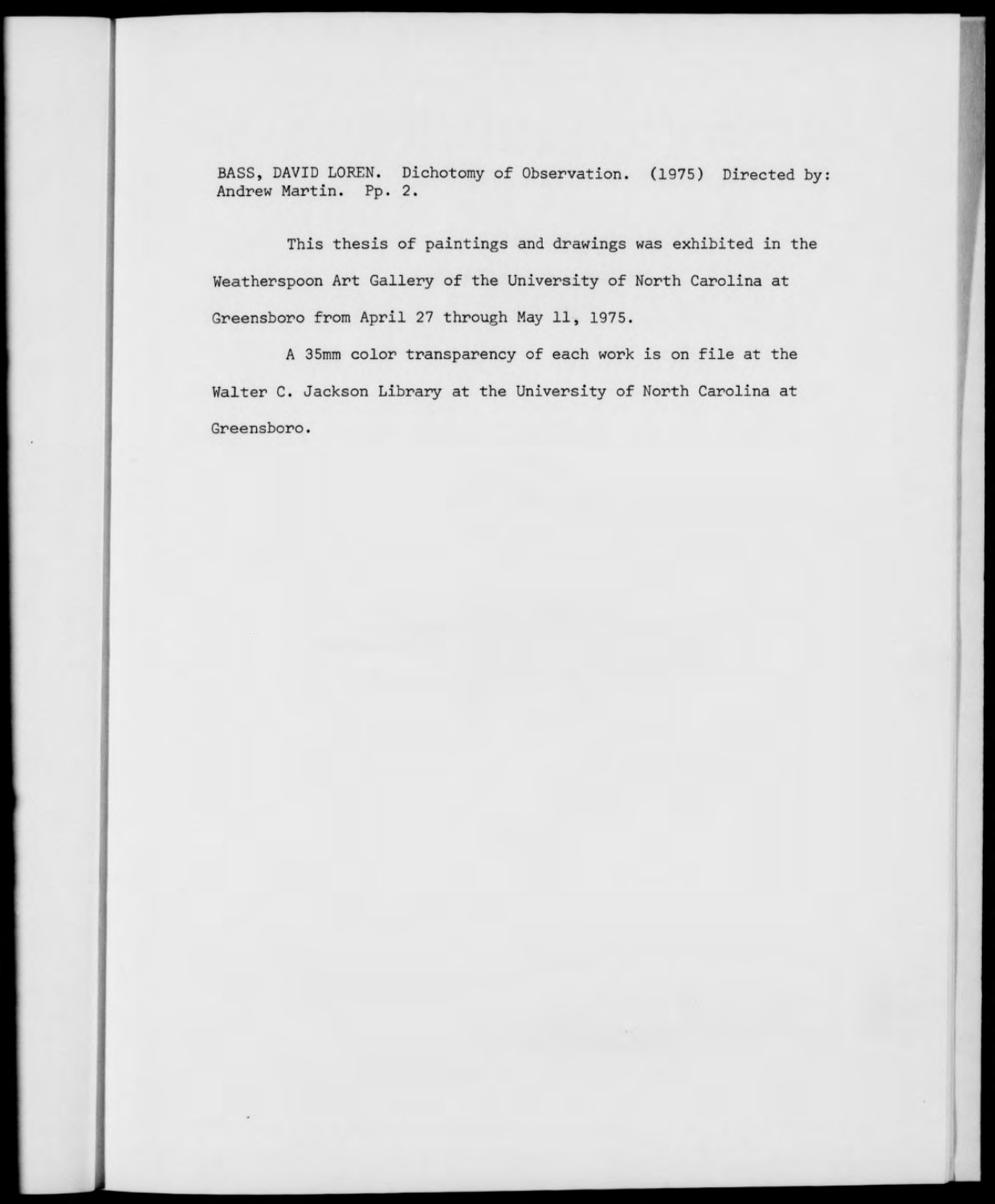BASS, DAVID LOREN. Dichotomy of Observation. (1975) Directed by: Andrew Martin. Pp. 2.

This thesis of paintings and drawings was exhibited in the Weatherspoon Art Gallery of the University of North Carolina at Greensboro from April 27 through May 11, 1975.

A 35mm color transparency of each work is on file at the Walter C. Jackson Library at the University of North Carolina at Greensboro.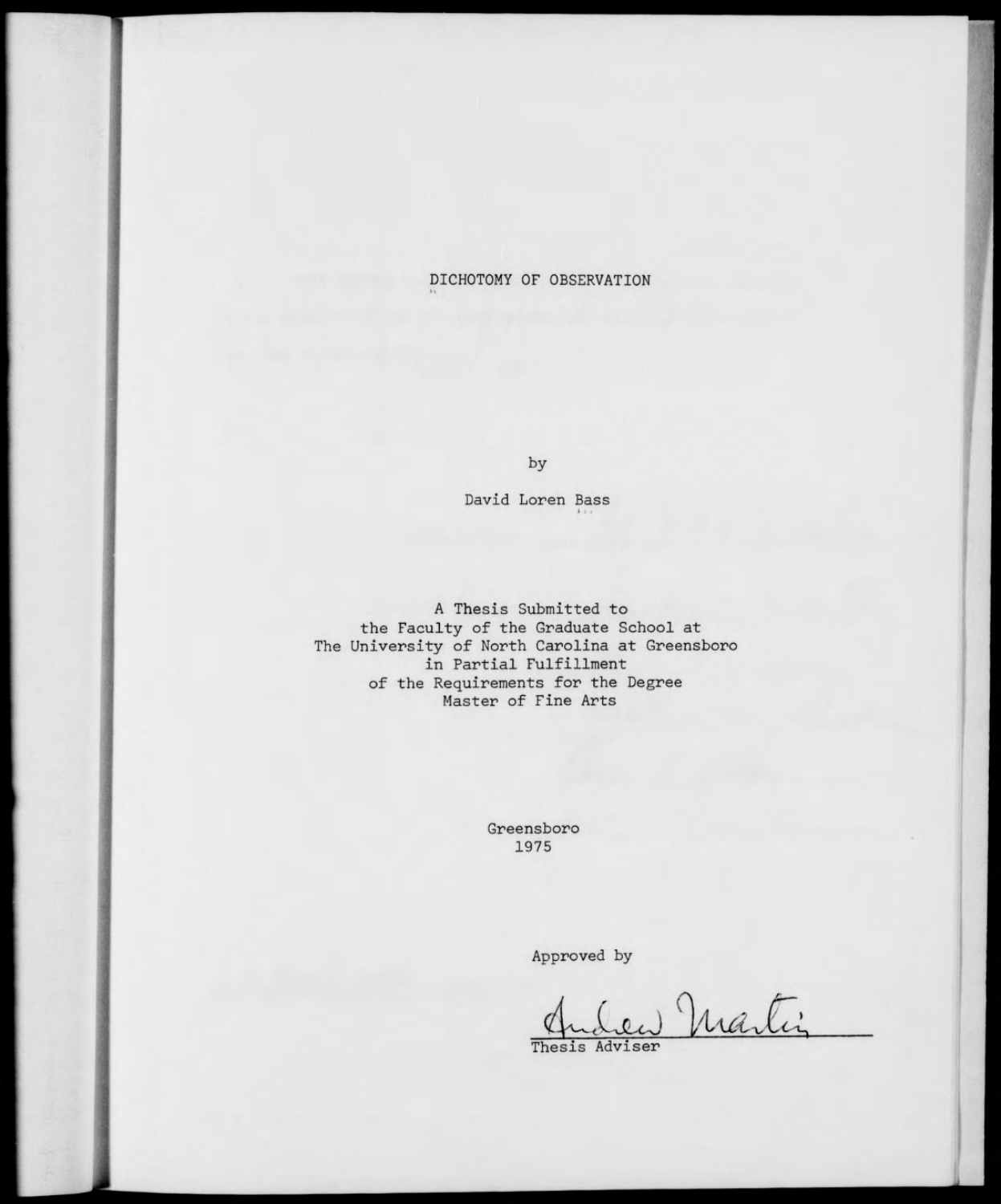## DICHOTOMY OF OBSERVATION

by

David Loren Bass

A Thesis Submitted to the Faculty of the Graduate School at The University of North Carolina at Greensboro in Partial Fulfillment of the Requirements for the Degree Master of Fine Arts

> Greensboro 1975

> > Approved by

llv~tCxcJ *yJMlJic^* Thesis Adviser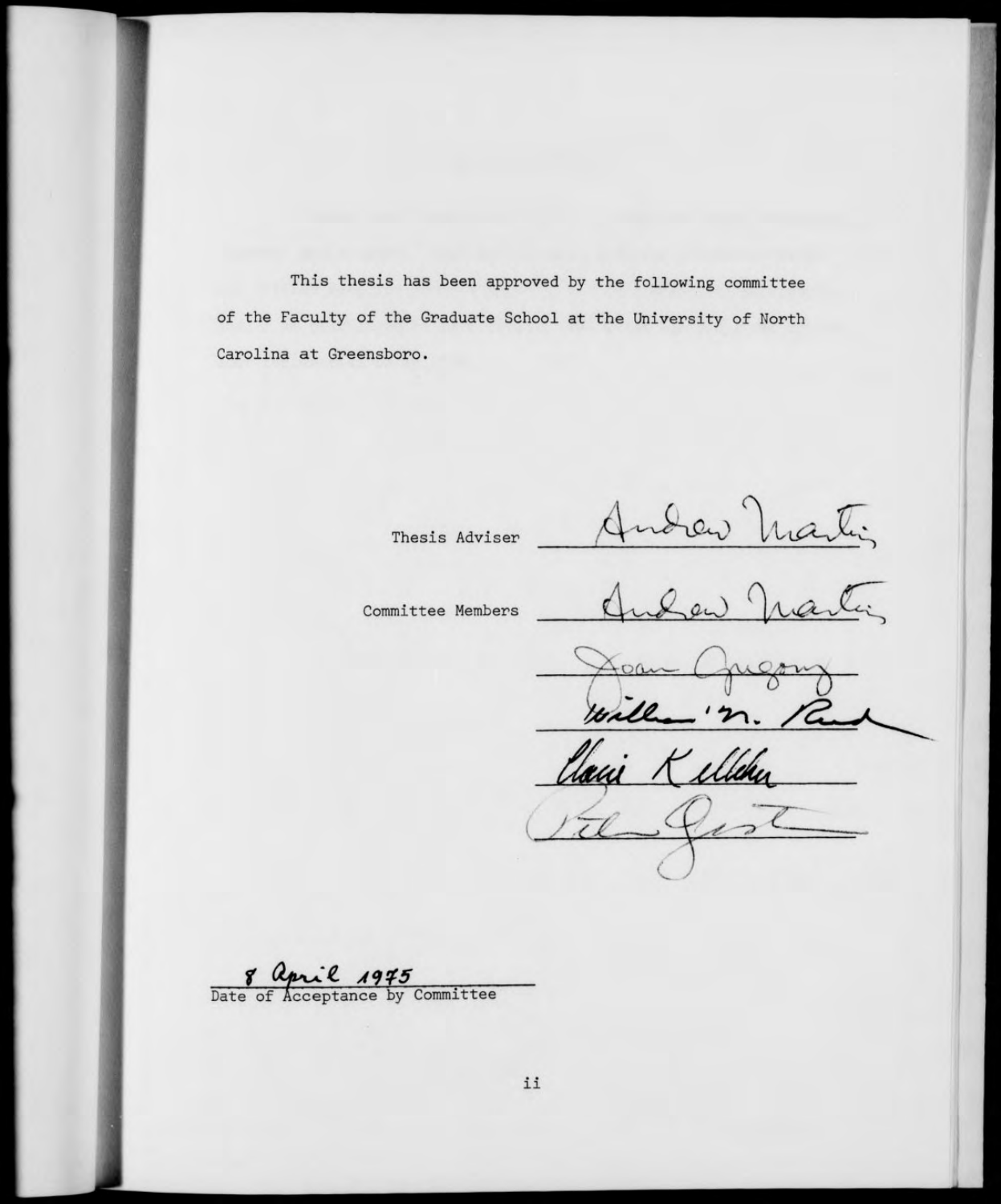This thesis has been approved by the following committee of the Faculty of the Graduate School at the University of North Carolina at Greensboro.

Thesis Adviser

Committee Members

Andrew Martin

 $Q_{av}$ €

illehe

8 april 1975<br>Date of Acceptance by Committee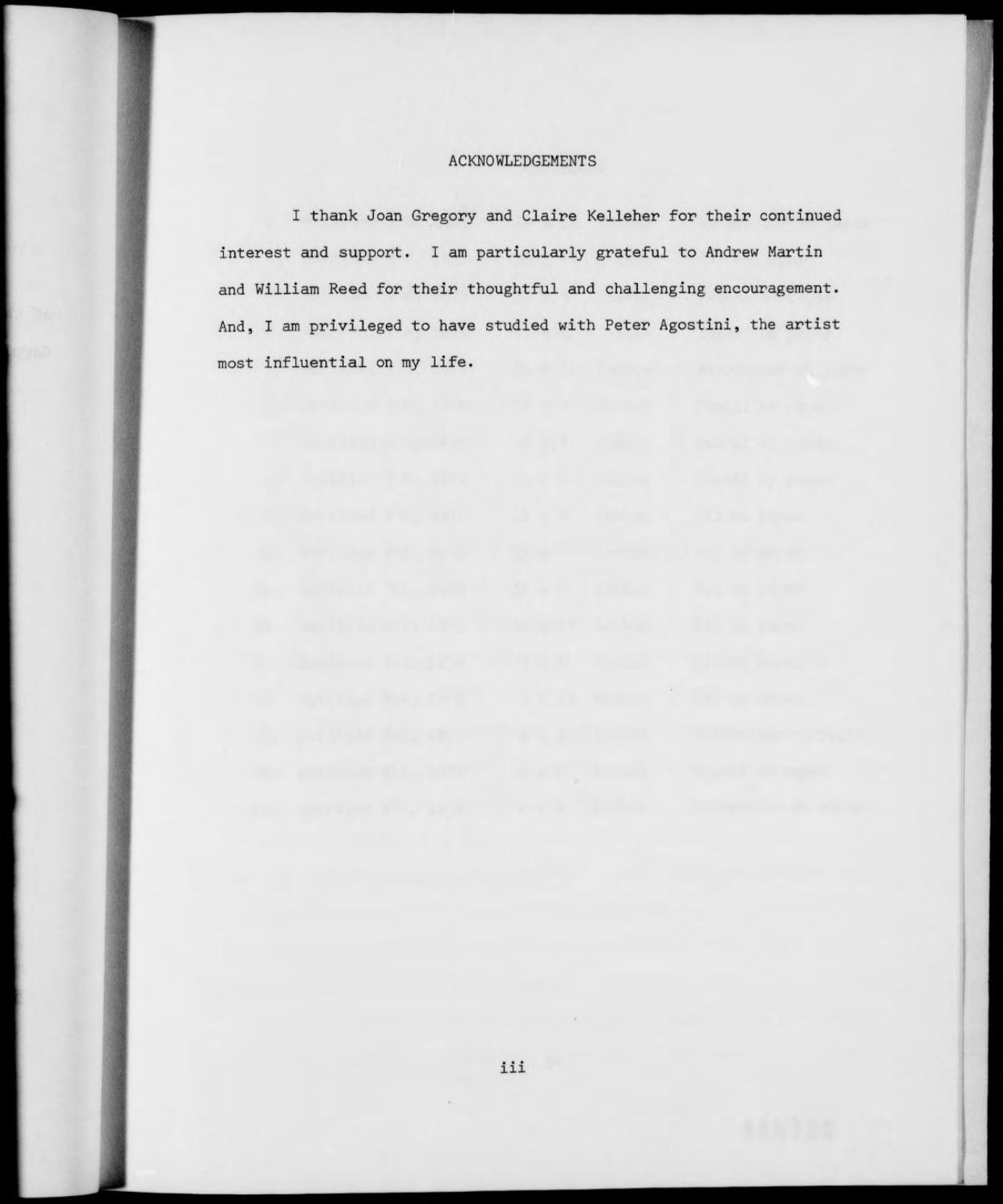## ACKNOWLEDGEMENTS

I thank Joan Gregory and Claire Kelleher for their continued interest and support. I am particularly grateful to Andrew Martin and William Reed for their thoughtful and challenging encouragement. And, I am privileged to have studied with Peter Agostini, the artist most influential on my life.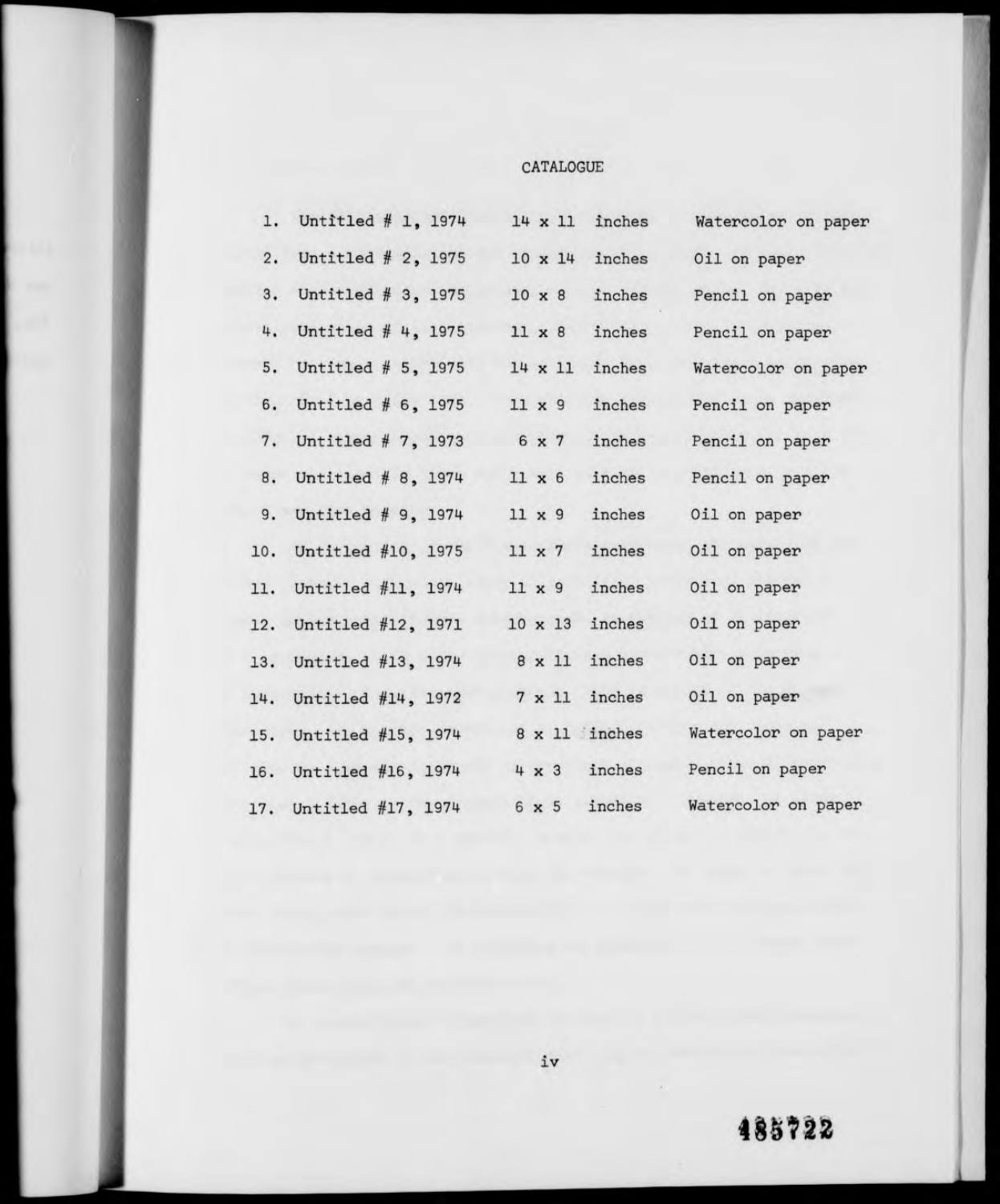## CATALOGUE

| 1.  | Untitled $# 1, 1974$     |  |               | $14 \times 11$ | inches                | Watercolor on paper |
|-----|--------------------------|--|---------------|----------------|-----------------------|---------------------|
| 2.  | Untitled $# 2$ , 1975    |  |               | $10 \times 14$ | inches                | Oil on paper        |
| 3.  | Untitled # 3, 1975       |  | $10 \times 8$ |                | inches                | Pencil on paper     |
| 4.  | Untitled $#$ 4, 1975     |  |               | $11 \times 8$  | inches                | Pencil on paper     |
|     | 5. Untitled $# 5$ , 1975 |  |               | $14 \times 11$ | inches                | Watercolor on paper |
|     | 6. Untitled $# 6, 1975$  |  | $11 \times 9$ |                | inches                | Pencil on paper     |
|     | 7. Untitled # 7, 1973    |  |               | 6 x 7          | inches                | Pencil on paper     |
|     | 8. Untitled # 8, 1974    |  | $11 \times 6$ |                | inches                | Pencil on paper     |
|     | 9. Untitled # 9, 1974    |  | $11 \times 9$ |                | inches                | Oil on paper        |
|     | 10. Untitled #10, 1975   |  | $11 \times 7$ |                | inches                | Oil on paper        |
|     | 11. Untitled #11, 1974   |  | $11 \times 9$ |                | inches                | Oil on paper        |
| 12. | Untitled #12, 1971       |  |               |                | $10 \times 13$ inches | Oil on paper        |
| 13. | Untitled #13, 1974       |  |               |                | $8 \times 11$ inches  | Oil on paper        |
| 14. | Untitled $#14$ , 1972    |  |               | $7 \times 11$  | inches                | Oil on paper        |
| 15. | Untitled #15, 1974       |  |               |                | 8 x 11 inches         | Watercolor on paper |
|     | 16. Untitled #16, 1974   |  |               |                | $4 \times 3$ inches   | Pencil on paper     |
|     | 17. Untitled #17, 1974   |  |               | $6 \times 5$   | inches                | Watercolor on paper |

## *mnz*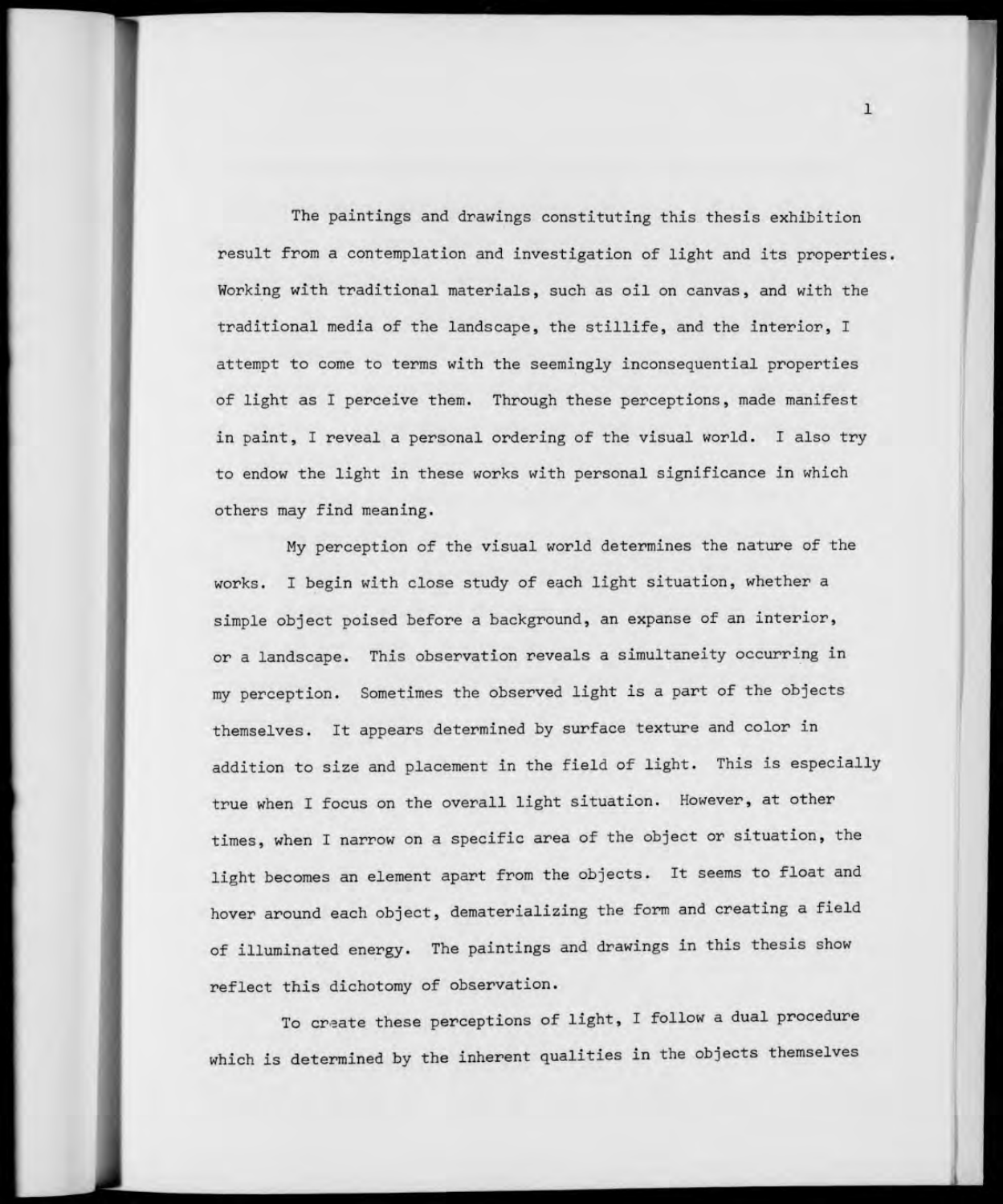The paintings and drawings constituting this thesis exhibition result from a contemplation and investigation of light and its properties. Working with traditional materials, such as oil on canvas, and with the traditional media of the landscape, the stillife, and the interior, I attempt to come to terms with the seemingly inconsequential properties of light as <sup>I</sup> perceive them. Through these perceptions, made manifest in paint, <sup>I</sup> reveal a personal ordering of the visual world. I also try to endow the light in these works with personal significance in which others may find meaning.

My perception of the visual world determines the nature of the works. I begin with close study of each light situation, whether a simple object poised before a background, an expanse of an interior, or a landscape. This observation reveals a simultaneity occurring in my perception. Sometimes the observed light is <sup>a</sup> part of the objects themselves. It appears determined by surface texture and color in addition to size and placement in the field of light. This is especially true when I focus on the overall light situation. However, at other times, when <sup>I</sup> narrow on a specific area of the object or situation, the light becomes an element apart from the objects. It seems to float and hover around each object, dematerializing the form and creating a field of illuminated energy. The paintings and drawings in this thesis show reflect this dichotomy of observation.

To create these perceptions of light, <sup>I</sup> follow a dual procedure which is determined by the inherent qualities in the objects themselves

 $\mathbf{1}$